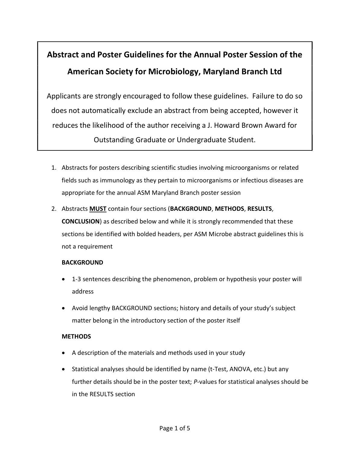# Abstract and Poster Guidelines for the Annual Poster Session of the American Society for Microbiology, Maryland Branch Ltd

Applicants are strongly encouraged to follow these guidelines. Failure to do so does not automatically exclude an abstract from being accepted, however it reduces the likelihood of the author receiving a J. Howard Brown Award for Outstanding Graduate or Undergraduate Student.

- 1. Abstracts for posters describing scientific studies involving microorganisms or related fields such as immunology as they pertain to microorganisms or infectious diseases are appropriate for the annual ASM Maryland Branch poster session
- 2. Abstracts **MUST** contain four sections (BACKGROUND, METHODS, RESULTS, CONCLUSION) as described below and while it is strongly recommended that these sections be identified with bolded headers, per ASM Microbe abstract guidelines this is not a requirement

## **BACKGROUND**

- 1-3 sentences describing the phenomenon, problem or hypothesis your poster will address
- Avoid lengthy BACKGROUND sections; history and details of your study's subject matter belong in the introductory section of the poster itself

## **METHODS**

- A description of the materials and methods used in your study
- Statistical analyses should be identified by name (t-Test, ANOVA, etc.) but any further details should be in the poster text; P-values for statistical analyses should be in the RESULTS section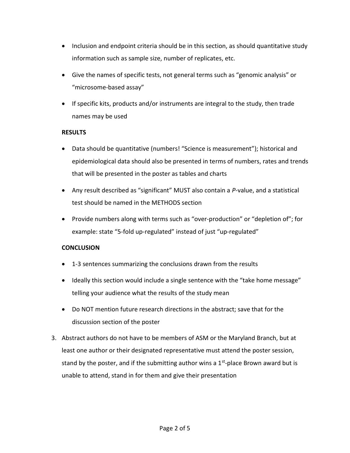- Inclusion and endpoint criteria should be in this section, as should quantitative study information such as sample size, number of replicates, etc.
- Give the names of specific tests, not general terms such as "genomic analysis" or "microsome-based assay"
- If specific kits, products and/or instruments are integral to the study, then trade names may be used

### **RESULTS**

- Data should be quantitative (numbers! "Science is measurement"); historical and epidemiological data should also be presented in terms of numbers, rates and trends that will be presented in the poster as tables and charts
- Any result described as "significant" MUST also contain a P-value, and a statistical test should be named in the METHODS section
- Provide numbers along with terms such as "over-production" or "depletion of"; for example: state "5-fold up-regulated" instead of just "up-regulated"

## **CONCLUSION**

- 1-3 sentences summarizing the conclusions drawn from the results
- Ideally this section would include a single sentence with the "take home message" telling your audience what the results of the study mean
- Do NOT mention future research directions in the abstract; save that for the discussion section of the poster
- 3. Abstract authors do not have to be members of ASM or the Maryland Branch, but at least one author or their designated representative must attend the poster session, stand by the poster, and if the submitting author wins a  $1<sup>st</sup>$ -place Brown award but is unable to attend, stand in for them and give their presentation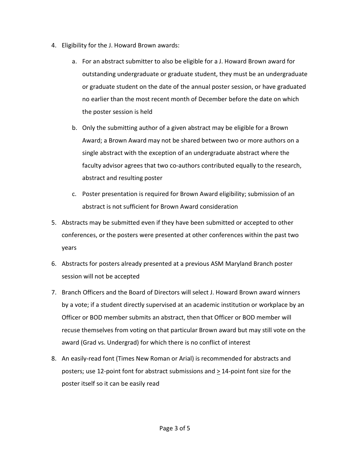- 4. Eligibility for the J. Howard Brown awards:
	- a. For an abstract submitter to also be eligible for a J. Howard Brown award for outstanding undergraduate or graduate student, they must be an undergraduate or graduate student on the date of the annual poster session, or have graduated no earlier than the most recent month of December before the date on which the poster session is held
	- b. Only the submitting author of a given abstract may be eligible for a Brown Award; a Brown Award may not be shared between two or more authors on a single abstract with the exception of an undergraduate abstract where the faculty advisor agrees that two co-authors contributed equally to the research, abstract and resulting poster
	- c. Poster presentation is required for Brown Award eligibility; submission of an abstract is not sufficient for Brown Award consideration
- 5. Abstracts may be submitted even if they have been submitted or accepted to other conferences, or the posters were presented at other conferences within the past two years
- 6. Abstracts for posters already presented at a previous ASM Maryland Branch poster session will not be accepted
- 7. Branch Officers and the Board of Directors will select J. Howard Brown award winners by a vote; if a student directly supervised at an academic institution or workplace by an Officer or BOD member submits an abstract, then that Officer or BOD member will recuse themselves from voting on that particular Brown award but may still vote on the award (Grad vs. Undergrad) for which there is no conflict of interest
- 8. An easily-read font (Times New Roman or Arial) is recommended for abstracts and posters; use 12-point font for abstract submissions and > 14-point font size for the poster itself so it can be easily read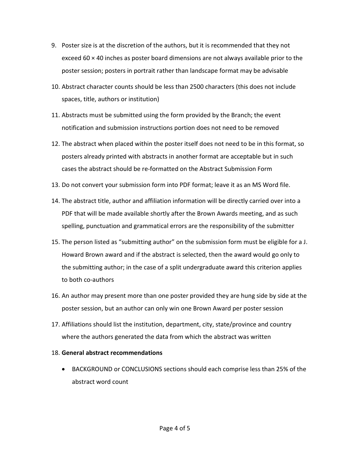- 9. Poster size is at the discretion of the authors, but it is recommended that they not exceed 60 × 40 inches as poster board dimensions are not always available prior to the poster session; posters in portrait rather than landscape format may be advisable
- 10. Abstract character counts should be less than 2500 characters (this does not include spaces, title, authors or institution)
- 11. Abstracts must be submitted using the form provided by the Branch; the event notification and submission instructions portion does not need to be removed
- 12. The abstract when placed within the poster itself does not need to be in this format, so posters already printed with abstracts in another format are acceptable but in such cases the abstract should be re-formatted on the Abstract Submission Form
- 13. Do not convert your submission form into PDF format; leave it as an MS Word file.
- 14. The abstract title, author and affiliation information will be directly carried over into a PDF that will be made available shortly after the Brown Awards meeting, and as such spelling, punctuation and grammatical errors are the responsibility of the submitter
- 15. The person listed as "submitting author" on the submission form must be eligible for a J. Howard Brown award and if the abstract is selected, then the award would go only to the submitting author; in the case of a split undergraduate award this criterion applies to both co-authors
- 16. An author may present more than one poster provided they are hung side by side at the poster session, but an author can only win one Brown Award per poster session
- 17. Affiliations should list the institution, department, city, state/province and country where the authors generated the data from which the abstract was written

#### 18. General abstract recommendations

 BACKGROUND or CONCLUSIONS sections should each comprise less than 25% of the abstract word count